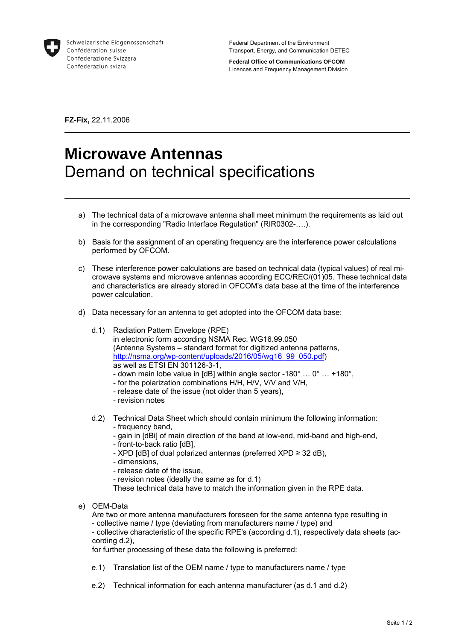

**Federal Office of Communications OFCOM**  Licences and Frequency Management Division

**FZ-Fix,** 22.11.2006

## **Microwave Antennas**  Demand on technical specifications

- a) The technical data of a microwave antenna shall meet minimum the requirements as laid out in the corresponding "Radio Interface Regulation" (RIR0302-….).
- b) Basis for the assignment of an operating frequency are the interference power calculations performed by OFCOM.
- c) These interference power calculations are based on technical data (typical values) of real microwave systems and microwave antennas according ECC/REC/(01)05. These technical data and characteristics are already stored in OFCOM's data base at the time of the interference power calculation.
- d) Data necessary for an antenna to get adopted into the OFCOM data base:
	- d.1) Radiation Pattern Envelope (RPE) in electronic form according NSMA Rec. WG16.99.050 (Antenna Systems – standard format for digitized antenna patterns, http://nsma.org/wp-content/uploads/2016/05/wg16\_99\_050.pdf) as well as ETSI EN 301126-3-1,
		- down main lobe value in [dB] within angle sector -180° … 0° … +180°,
		- for the polarization combinations H/H, H/V, V/V and V/H,
		- release date of the issue (not older than 5 years),
		- revision notes
	- d.2) Technical Data Sheet which should contain minimum the following information: - frequency band,
		- gain in [dBi] of main direction of the band at low-end, mid-band and high-end,
		- front-to-back ratio [dB],
		- XPD [dB] of dual polarized antennas (preferred XPD ≥ 32 dB),
		- dimensions,
		- release date of the issue,
		- revision notes (ideally the same as for d.1)

These technical data have to match the information given in the RPE data.

e) OEM-Data

Are two or more antenna manufacturers foreseen for the same antenna type resulting in - collective name / type (deviating from manufacturers name / type) and - collective characteristic of the specific RPE's (according d.1), respectively data sheets (according d.2),

for further processing of these data the following is preferred:

- e.1) Translation list of the OEM name / type to manufacturers name / type
- e.2) Technical information for each antenna manufacturer (as d.1 and d.2)